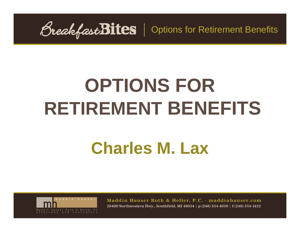BreakfastBites | Options for Retirement Benefits

# **OPTIONS FOR RETIREMENT BENEFITS**

## **Charles M. Lax**

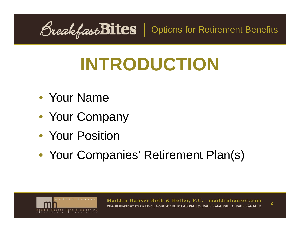*<u>OreakfastBites*</u> | Options for Retirement Benefits

# **INTRODUCTION**

- Your Name
- Your Company
- Your Position
- Your Companies' Retirement Plan(s)

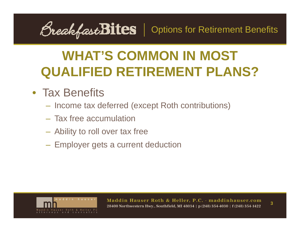*<u>OreakfastBites*</u> | Options for Retirement Benefits

#### • Tax Benefits

- Income tax deferred (except Roth contributions)
- Tax free accumulation
- Ability to roll over tax free
- – $-$  Employer gets a current deduction

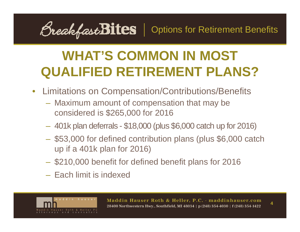<u>OreakfastBites</u> | Options for Retirement Benefits

- Limitations on Compensation/Contributions/Benefits
	- Maximum amount of compensation that may be considered is \$265,000 for 2016
	- 401k plan deferrals \$18,000 (plus \$6,000 catch up for 2016)
	- \$53,000 for defined contribution plans (plus \$6,000 catch up if a 401k plan for 2016)
	- \$210,000 benefit for defined benefit plans for 2016
	- Each limit is indexed

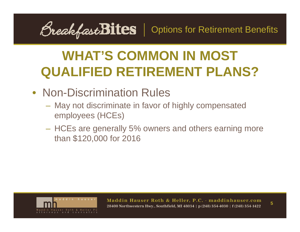<u>OreakfastBites</u> | Options for Retirement Benefits

- Non-Discrimination Rules
	- May not discriminate in favor of highly compensated employees (HCEs)
	- HCEs are generally 5% owners and others earning more than \$120,000 for 2016

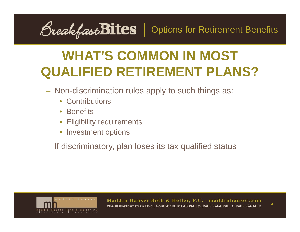<u>OreakfastBites</u> | Options for Retirement Benefits

- Non-discrimination rules apply to such things as:
	- Contributions
	- Benefits
	- •Eligibility requirements
	- Investment options
- If discriminatory, plan loses its tax qualified status

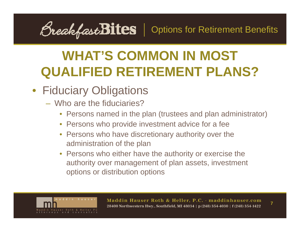<u>OreakfastBites</u> | Options for Retirement Benefits

#### • Fiduciary Obligations

- Who are the fiduciaries?
	- Persons named in the plan (trustees and plan administrator)
	- Persons who provide investment advice for a fee
	- Persons who have discretionary authority over the administration of the plan
	- Persons who either have the authority or exercise the authority over management of plan assets, investment options or distribution options

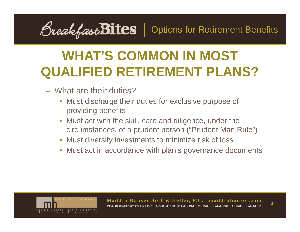<u>OreakfastBites</u> | Options for Retirement Benefits

- What are their duties?
	- Must discharge their duties for exclusive purpose of providing benefits
	- Must act with the skill, care and diligence, under the circumstances, of a prudent person ("Prudent Man Rule")
	- Must diversify investments to minimize risk of loss
	- Must act in accordance with plan's governance documents

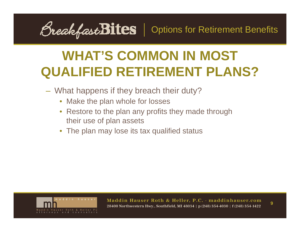<u>OreakfastBites</u> | Options for Retirement Benefits

- What happens if they breach their duty?
	- •Make the plan whole for losses
	- Restore to the plan any profits they made through their use of plan assets
	- The plan may lose its tax qualified status

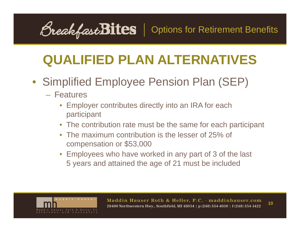<u>OreakfastBites</u> | Options for Retirement Benefits

- Simplified Employee Pension Plan (SEP)
	- Features
		- Employer contributes directly into an IRA for each participant
		- The contribution rate must be the same for each participant
		- The maximum contribution is the lesser of 25% of compensation or \$53,000
		- Employees who have worked in any part of 3 of the last 5 years and attained the age of 21 must be included

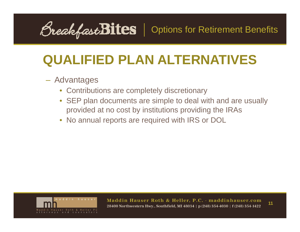<u>OreakfastBites</u> | Options for Retirement Benefits

#### Advantages

- Contributions are completely discretionary
- SEP plan documents are simple to deal with and are usually provided at no cost by institutions providing the IRAs
- No annual reports are required with IRS or DOL

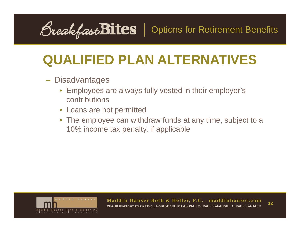<u>OreakfastBites</u> | Options for Retirement Benefits

- Disadvantages
	- Employees are always fully vested in their employer's contributions
	- Loans are not permitted
	- The employee can withdraw funds at any time, subject to a 10% income tax penalty, if applicable

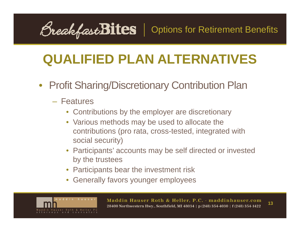<u>OreakfastBites</u> | Options for Retirement Benefits

- Profit Sharing/Discretionary Contribution Plan
	- Features
		- Contributions by the employer are discretionary
		- Various methods may be used to allocate the contributions (pro rata, cross-tested, integrated with social security)
		- Participants' accounts may be self directed or invested by the trustees
		- Participants bear the investment risk
		- •Generally favors younger employees

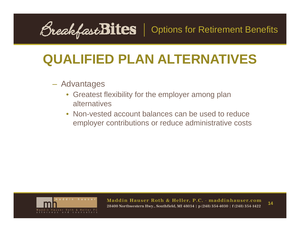<u>OreakfastBites</u> | Options for Retirement Benefits

#### Advantages

- Greatest flexibility for the employer among plan alternatives
- • Non-vested account balances can be used to reduce employer contributions or reduce administrative costs

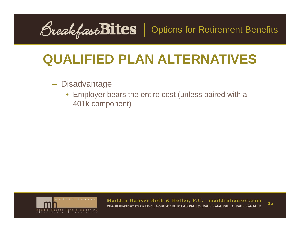BreakfastBites | Options for Retirement Benefits

- Disadvantage
	- Employer bears the entire cost (unless paired with a 401k component)

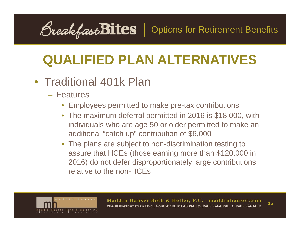OreakfastBites | Options for Retirement Benefits

#### • Traditional 401k Plan

- Features
	- Employees permitted to make pre-tax contributions
	- The maximum deferral permitted in 2016 is \$18,000, with individuals who are age 50 or older permitted to make an additional "catch up" contribution of \$6,000
	- The plans are subject to non-discrimination testing to assure that HCEs (those earning more than \$120,000 in 2016) do not defer disproportionately large contributions relative to the non-HCEs

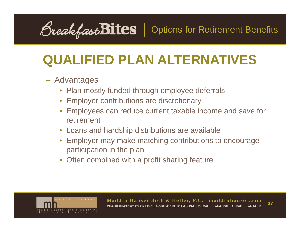<u>OreakfastBites</u> | Options for Retirement Benefits

#### Advantages

- Plan mostly funded through employee deferrals
- Employer contributions are discretionary
- Employees can reduce current taxable income and save for retirement
- Loans and hardship distributions are available
- Employer may make matching contributions to encourage participation in the plan
- Often combined with a profit sharing feature

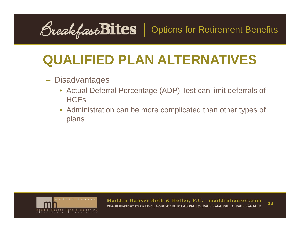<u>OreakfastBites</u> | Options for Retirement Benefits

- Disadvantages
	- Actual Deferral Percentage (ADP) Test can limit deferrals of **HCE<sub>s</sub>**
	- Administration can be more complicated than other types of plans

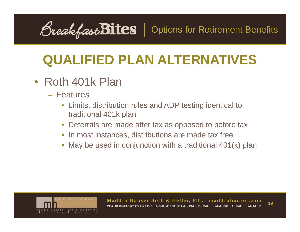<u>OreakfastBites</u> | Options for Retirement Benefits

#### • Roth 401k Plan

- Features
	- Limits, distribution rules and ADP testing identical to traditional 401k plan
	- Deferrals are made after tax as opposed to before tax
	- In most instances, distributions are made tax free
	- May be used in conjunction with a traditional 401(k) plan

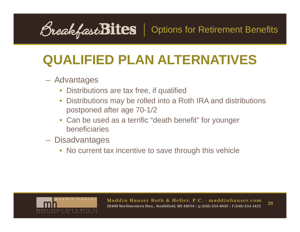<u>OreakfastBites</u> | Options for Retirement Benefits

#### Advantages

- Distributions are tax free, if qualified
- Distributions may be rolled into a Roth IRA and distributions postponed after age 70-1/2
- Can be used as a terrific "death benefit" for younger beneficiaries
- **Disadvantages** 
	- No current tax incentive to save through this vehicle

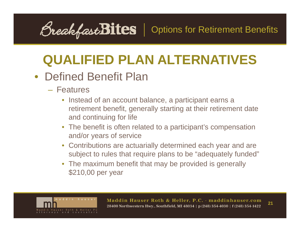<u>OreakfastBites</u> | Options for Retirement Benefits

#### • Defined Benefit Plan

- Features
	- Instead of an account balance, a participant earns a retirement benefit, generally starting at their retirement date and continuing for life
	- The benefit is often related to a participant's compensation and/or years of service
	- Contributions are actuarially determined each year and are subject to rules that require plans to be "adequately funded"
	- The maximum benefit that may be provided is generally \$210,00 per year

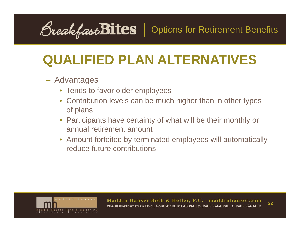<u>OreakfastBites</u> | Options for Retirement Benefits

#### Advantages

- Tends to favor older employees
- Contribution levels can be much higher than in other types of plans
- Participants have certainty of what will be their monthly or annual retirement amount
- Amount forfeited by terminated employees will automatically reduce future contributions

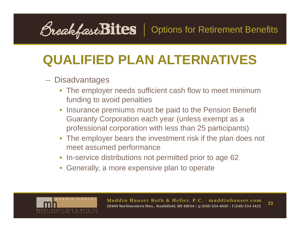<u>OreakfastBites</u> | Options for Retirement Benefits

#### Disadvantages

- The employer needs sufficient cash flow to meet minimum funding to avoid penalties
- Insurance premiums must be paid to the Pension Benefit Guaranty Corporation each year (unless exempt as a professional corporation with less than 25 participants)
- The employer bears the investment risk if the plan does not meet assumed performance
- In-service distributions not permitted prior to age 62
- Generally, a more expensive plan to operate

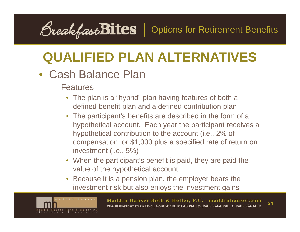<u>OreakfastBites</u> | Options for Retirement Benefits

#### • Cash Balance Plan

- Features
	- • The plan is a "hybrid" plan having features of both a defined benefit plan and a defined contribution plan
	- The participant's benefits are described in the form of a hypothetical account. Each year the participant receives a hypothetical contribution to the account (i.e., 2% of compensation, or \$1,000 plus a specified rate of return on investment (i.e., 5%)
	- When the participant's benefit is paid, they are paid the value of the hypothetical account
	- $\bullet$  Because it is a pension plan, the employer bears the investment risk but also enjoys the investment gains

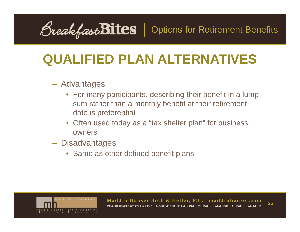<u>OreakfastBites</u> | Options for Retirement Benefits

#### Advantages

- For many participants, describing their benefit in a lump sum rather than a monthly benefit at their retirement date is preferential
- Often used today as a "tax shelter plan" for business owners
- Disadvantages
	- Same as other defined benefit plans

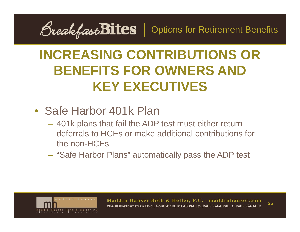BreakfastBites | Options for Retirement Benefits

#### • Safe Harbor 401k Plan

- 401k plans that fail the ADP test must either return deferrals to HCEs or make additional contributions for the non-HCEs
- –– "Safe Harbor Plans" automatically pass the ADP test

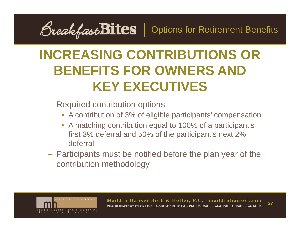<u>OreakfastBites</u> | Options for Retirement Benefits

- Required contribution options
	- A contribution of 3% of eligible participants' compensation
	- A matching contribution equal to 100% of a participant's first 3% deferral and 50% of the participant's next 2% deferral
- Participants must be notified before the plan year of the contribution methodology

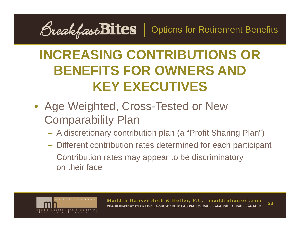*<u>OreakfastBites*</u> | Options for Retirement Benefits

- Age Weighted, Cross-Tested or New Comparability Plan
	- A discretionary contribution plan (a "Profit Sharing Plan")
	- Different contribution rates determined for each participant
	- Contribution rates may appear to be discriminatory on their face

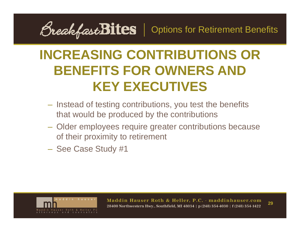<u>OreakfastBites</u> | Options for Retirement Benefits

- Instead of testing contributions, you test the benefits that would be produced by the contributions
- Older employees require greater contributions because of their proximity to retirement
- See Case Study #1

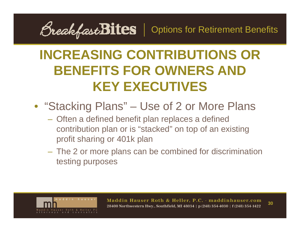*<u>OreakfastBites*</u> | Options for Retirement Benefits

- "Stacking Plans" Use of 2 or More Plans
	- Often a defined benefit plan replaces a defined contribution plan or is "stacked" on top of an existing profit sharing or 401k plan
	- – The 2 or more plans can be combined for discrimination testing purposes

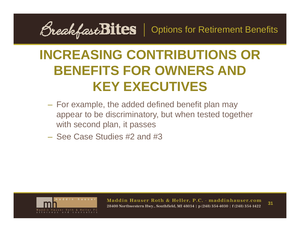*<u>OreakfastBites* | Options for Retirement Benefits</u>

- For example, the added defined benefit plan may appear to be discriminatory, but when tested together with second plan, it passes
- See Case Studies #2 and #3

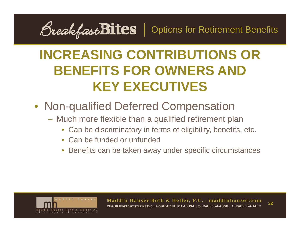<u>OreakfastBites</u> | Options for Retirement Benefits

- Non-qualified Deferred Compensation
	- Much more flexible than a qualified retirement plan
		- Can be discriminatory in terms of eligibility, benefits, etc.
		- Can be funded or unfunded
		- Benefits can be taken away under specific circumstances

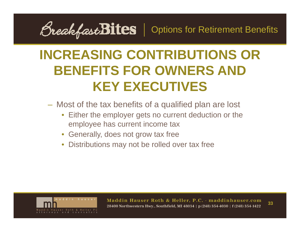BreakfastBites | Options for Retirement Benefits

- Most of the tax benefits of a qualified plan are lost
	- Either the employer gets no current deduction or the employee has current income tax
	- Generally, does not grow tax free
	- Distributions may not be rolled over tax free

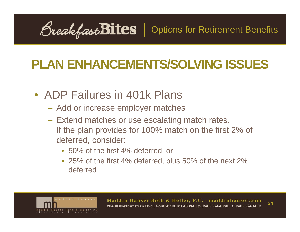<u>OreakfastBites</u> | Options for Retirement Benefits

- ADP Failures in 401k Plans
	- Add or increase employer matches
	- Extend matches or use escalating match rates. If the plan provides for 100% match on the first 2% of deferred, consider:
		- 50% of the first 4% deferred, or
		- 25% of the first 4% deferred, plus 50% of the next 2% deferred

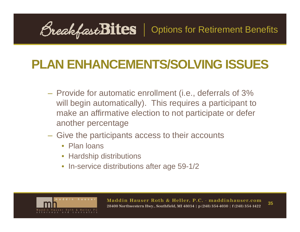OreakfastBites | Options for Retirement Benefits

- Provide for automatic enrollment (i.e., deferrals of 3% will begin automatically). This requires a participant to make an affirmative election to not participate or defer another percentage
- Give the participants access to their accounts
	- Plan loans
	- Hardship distributions
	- In-service distributions after age 59-1/2

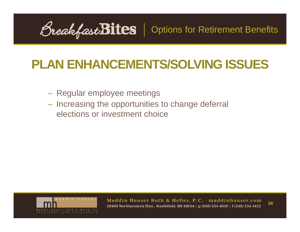*<u>OreakfastBites</u>* | Options for Retirement Benefits

- Regular employee meetings
- $-$  Increasing the opportunities to change deferral elections or investment choice

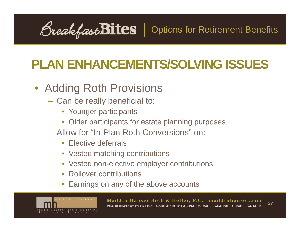<u>OreakfastBites</u> | Options for Retirement Benefits

#### • Adding Roth Provisions

- Can be really beneficial to:
	- Younger participants
	- Older participants for estate planning purposes
- Allow for "In-Plan Roth Conversions" on:
	- Elective deferrals
	- Vested matching contributions
	- Vested non-elective employer contributions
	- Rollover contributions
	- Earnings on any of the above accounts

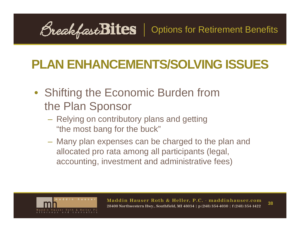*<u>OreakfastBites*</u> | Options for Retirement Benefits

- Shifting the Economic Burden from the Plan Sponsor
	- Relying on contributory plans and getting "the most bang for the buck"
	- Many plan expenses can be charged to the plan and allocated pro rata among all participants (legal, accounting, investment and administrative fees)